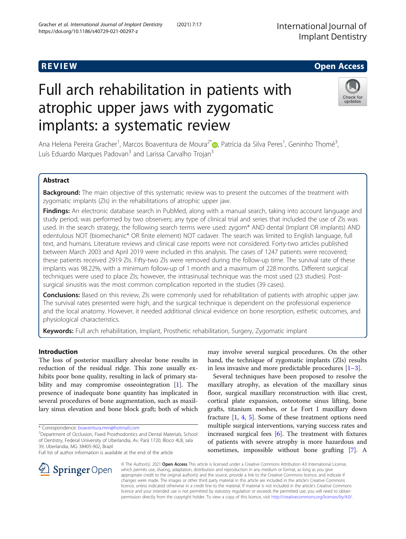# R EVI EW Open Access

# Full arch rehabilitation in patients with atrophic upper jaws with zygomatic implants: a systematic review

Ana Helena Pereira Gracher<sup>1</sup>[,](http://orcid.org/0000-0003-2342-2567) Marcos Boaventura de Moura<sup>2\*</sup>®, Patrícia da Silva Peres<sup>1</sup>, Geninho Thomé<sup>3</sup> , Luís Eduardo Marques Padovan<sup>3</sup> and Larissa Carvalho Trojan<sup>3</sup>

# Abstract

Background: The main objective of this systematic review was to present the outcomes of the treatment with zygomatic implants (ZIs) in the rehabilitations of atrophic upper jaw.

Findings: An electronic database search in PubMed, along with a manual search, taking into account language and study period, was performed by two observers; any type of clinical trial and series that included the use of ZIs was used. In the search strategy, the following search terms were used: zygom\* AND dental (Implant OR implants) AND edentulous NOT (biomechanic\* OR finite element) NOT cadaver. The search was limited to English language, full text, and humans. Literature reviews and clinical case reports were not considered. Forty-two articles published between March 2003 and April 2019 were included in this analysis. The cases of 1247 patients were recovered; these patients received 2919 ZIs. Fifty-two ZIs were removed during the follow-up time. The survival rate of these implants was 98.22%, with a minimum follow-up of 1 month and a maximum of 228 months. Different surgical techniques were used to place ZIs; however, the intrasinusal technique was the most used (23 studies). Postsurgical sinusitis was the most common complication reported in the studies (39 cases).

Conclusions: Based on this review, ZIs were commonly used for rehabilitation of patients with atrophic upper jaw. The survival rates presented were high, and the surgical technique is dependent on the professional experience and the local anatomy. However, it needed additional clinical evidence on bone resorption, esthetic outcomes, and physiological characteristics.

Keywords: Full arch rehabilitation, Implant, Prosthetic rehabilitation, Surgery, Zygomatic implant

# Introduction

The loss of posterior maxillary alveolar bone results in reduction of the residual ridge. This zone usually exhibits poor bone quality, resulting in lack of primary sta-bility and may compromise osseointegration [\[1](#page-7-0)]. The presence of inadequate bone quantity has implicated in several procedures of bone augmentation, such as maxillary sinus elevation and bone block graft; both of which

SpringerOpen

Full list of author information is available at the end of the article

may involve several surgical procedures. On the other hand, the technique of zygomatic implants (ZIs) results in less invasive and more predictable procedures  $[1-3]$  $[1-3]$  $[1-3]$  $[1-3]$ .

Several techniques have been proposed to resolve the maxillary atrophy, as elevation of the maxillary sinus floor, surgical maxillary reconstruction with iliac crest, cortical plate expansion, osteotome sinus lifting, bone grafts, titanium meshes, or Le Fort I maxillary down fracture [\[1](#page-7-0), [4](#page-7-0), [5\]](#page-7-0). Some of these treatment options need multiple surgical interventions, varying success rates and increased surgical fees [\[6](#page-7-0)]. The treatment with fixtures of patients with severe atrophy is more hazardous and sometimes, impossible without bone grafting [\[7](#page-7-0)]. A

© The Author(s). 2021 Open Access This article is licensed under a Creative Commons Attribution 4.0 International License, which permits use, sharing, adaptation, distribution and reproduction in any medium or format, as long as you give appropriate credit to the original author(s) and the source, provide a link to the Creative Commons licence, and indicate if changes were made. The images or other third party material in this article are included in the article's Creative Commons licence, unless indicated otherwise in a credit line to the material. If material is not included in the article's Creative Commons licence and your intended use is not permitted by statutory regulation or exceeds the permitted use, you will need to obtain permission directly from the copyright holder. To view a copy of this licence, visit <http://creativecommons.org/licenses/by/4.0/>.







<sup>\*</sup> Correspondence: [boaventura.mm@hotmail.com](mailto:boaventura.mm@hotmail.com) <sup>2</sup>

Department of Occlusion, Fixed Prosthodontics and Dental Materials, School of Dentistry, Federal University of Uberlandia, Av. Pará 1720, Bloco 4LB, sala 39, Uberlandia, MG 38405-902, Brazil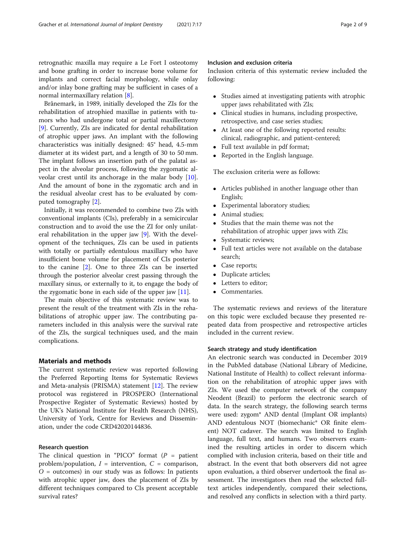retrognathic maxilla may require a Le Fort I osteotomy and bone grafting in order to increase bone volume for implants and correct facial morphology, while onlay and/or inlay bone grafting may be sufficient in cases of a normal intermaxillary relation [\[8\]](#page-7-0).

Brånemark, in 1989, initially developed the ZIs for the rehabilitation of atrophied maxillae in patients with tumors who had undergone total or partial maxillectomy [[9\]](#page-7-0). Currently, ZIs are indicated for dental rehabilitation of atrophic upper jaws. An implant with the following characteristics was initially designed: 45° head, 4.5-mm diameter at its widest part, and a length of 30 to 50 mm. The implant follows an insertion path of the palatal aspect in the alveolar process, following the zygomatic alveolar crest until its anchorage in the malar body [\[10](#page-7-0)]. And the amount of bone in the zygomatic arch and in the residual alveolar crest has to be evaluated by computed tomography [\[2](#page-7-0)].

Initially, it was recommended to combine two ZIs with conventional implants (CIs), preferably in a semicircular construction and to avoid the use the ZI for only unilateral rehabilitation in the upper jaw [\[9](#page-7-0)]. With the development of the techniques, ZIs can be used in patients with totally or partially edentulous maxillary who have insufficient bone volume for placement of CIs posterior to the canine [[2](#page-7-0)]. One to three ZIs can be inserted through the posterior alveolar crest passing through the maxillary sinus, or externally to it, to engage the body of the zygomatic bone in each side of the upper jaw  $[11]$  $[11]$ .

The main objective of this systematic review was to present the result of the treatment with ZIs in the rehabilitations of atrophic upper jaw. The contributing parameters included in this analysis were the survival rate of the ZIs, the surgical techniques used, and the main complications.

# Materials and methods

The current systematic review was reported following the Preferred Reporting Items for Systematic Reviews and Meta-analysis (PRISMA) statement [\[12](#page-7-0)]. The review protocol was registered in PROSPERO (International Prospective Register of Systematic Reviews) hosted by the UK's National Institute for Health Research (NHS), University of York, Centre for Reviews and Dissemination, under the code CRD42020144836.

#### Research question

The clinical question in "PICO" format  $(P =$  patient problem/population,  $I =$  intervention,  $C =$  comparison,  $O =$  outcomes) in our study was as follows: In patients with atrophic upper jaw, does the placement of ZIs by different techniques compared to CIs present acceptable survival rates?

### Inclusion and exclusion criteria

Inclusion criteria of this systematic review included the following:

- Studies aimed at investigating patients with atrophic upper jaws rehabilitated with ZIs;
- Clinical studies in humans, including prospective, retrospective, and case series studies;
- At least one of the following reported results: clinical, radiographic, and patient-centered;
- Full text available in pdf format;
- Reported in the English language.

The exclusion criteria were as follows:

- Articles published in another language other than English;
- Experimental laboratory studies;
- Animal studies;
- Studies that the main theme was not the rehabilitation of atrophic upper jaws with ZIs;
- Systematic reviews;
- Full text articles were not available on the database search;
- Case reports;
- Duplicate articles;
- Letters to editor;
- Commentaries.

The systematic reviews and reviews of the literature on this topic were excluded because they presented repeated data from prospective and retrospective articles included in the current review.

# Search strategy and study identification

An electronic search was conducted in December 2019 in the PubMed database (National Library of Medicine, National Institute of Health) to collect relevant information on the rehabilitation of atrophic upper jaws with ZIs. We used the computer network of the company Neodent (Brazil) to perform the electronic search of data. In the search strategy, the following search terms were used: zygom\* AND dental (Implant OR implants) AND edentulous NOT (biomechanic\* OR finite element) NOT cadaver. The search was limited to English language, full text, and humans. Two observers examined the resulting articles in order to discern which complied with inclusion criteria, based on their title and abstract. In the event that both observers did not agree upon evaluation, a third observer undertook the final assessment. The investigators then read the selected fulltext articles independently, compared their selections, and resolved any conflicts in selection with a third party.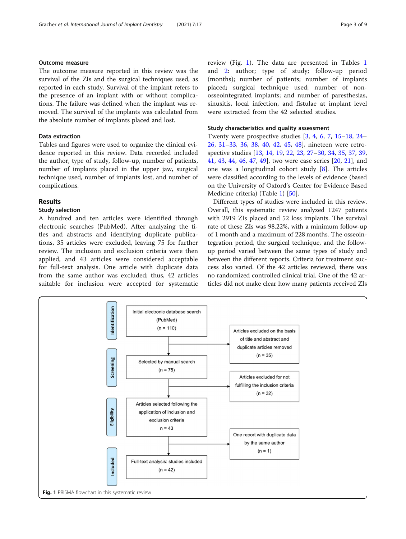# Outcome measure

The outcome measure reported in this review was the survival of the ZIs and the surgical techniques used, as reported in each study. Survival of the implant refers to the presence of an implant with or without complications. The failure was defined when the implant was removed. The survival of the implants was calculated from the absolute number of implants placed and lost.

# Data extraction

Tables and figures were used to organize the clinical evidence reported in this review. Data recorded included the author, type of study, follow-up, number of patients, number of implants placed in the upper jaw, surgical technique used, number of implants lost, and number of complications.

### Results

#### Study selection

A hundred and ten articles were identified through electronic searches (PubMed). After analyzing the titles and abstracts and identifying duplicate publications, 35 articles were excluded, leaving 75 for further review. The inclusion and exclusion criteria were then applied, and 43 articles were considered acceptable for full-text analysis. One article with duplicate data from the same author was excluded; thus, 42 articles suitable for inclusion were accepted for systematic review (Fig. 1). The data are presented in Tables [1](#page-3-0) and [2](#page-4-0): author; type of study; follow-up period (months); number of patients; number of implants placed; surgical technique used; number of nonosseointegrated implants; and number of paresthesias, sinusitis, local infection, and fistulae at implant level were extracted from the 42 selected studies.

# Study characteristics and quality assessment

Twenty were prospective studies [[3,](#page-7-0) [4,](#page-7-0) [6,](#page-7-0) [7](#page-7-0), [15](#page-7-0)–[18,](#page-7-0) [24](#page-8-0)– [26,](#page-8-0) [31](#page-8-0)–[33](#page-8-0), [36](#page-8-0), [38,](#page-8-0) [40,](#page-8-0) [42,](#page-8-0) [45,](#page-8-0) [48\]](#page-8-0), nineteen were retrospective studies [[13,](#page-7-0) [14,](#page-7-0) [19,](#page-7-0) [22](#page-8-0), [23](#page-8-0), [27](#page-8-0)–[30,](#page-8-0) [34](#page-8-0), [35](#page-8-0), [37](#page-8-0), [39](#page-8-0), [41,](#page-8-0) [43,](#page-8-0) [44](#page-8-0), [46](#page-8-0), [47,](#page-8-0) [49\]](#page-8-0), two were case series [[20,](#page-8-0) [21\]](#page-8-0), and one was a longitudinal cohort study [\[8](#page-7-0)]. The articles were classified according to the levels of evidence (based on the University of Oxford's Center for Evidence Based Medicine criteria) (Table [1\)](#page-3-0) [[50\]](#page-8-0).

Different types of studies were included in this review. Overall, this systematic review analyzed 1247 patients with 2919 ZIs placed and 52 loss implants. The survival rate of these ZIs was 98.22%, with a minimum follow-up of 1 month and a maximum of 228 months. The osseointegration period, the surgical technique, and the followup period varied between the same types of study and between the different reports. Criteria for treatment success also varied. Of the 42 articles reviewed, there was no randomized controlled clinical trial. One of the 42 articles did not make clear how many patients received ZIs

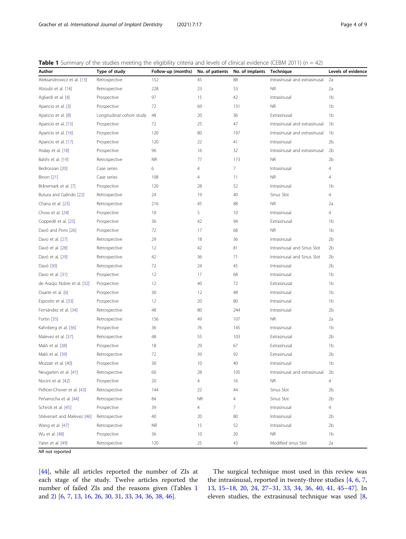<span id="page-3-0"></span>

| <b>Table 1</b> Summary of the studies meeting the eligibility criteria and levels of clinical evidence (CEBM 2011) ( $n = 42$ ) |  |  |
|---------------------------------------------------------------------------------------------------------------------------------|--|--|
|                                                                                                                                 |  |  |

| Author                      | Type of study             | Follow-up (months) | No. of patients | No. of implants | <b>Technique</b>              | Levels of evidence |
|-----------------------------|---------------------------|--------------------|-----------------|-----------------|-------------------------------|--------------------|
| Aleksandrowicz et al. [13]  | Retrospective             | 152                | 45              | 88              | Intrasinusal and extrasinusal | 2a                 |
| Alzoubi et al. [14]         | Retrospective             | 228                | 23              | 53              | <b>NR</b>                     | 2a                 |
| Agliardi et al. [4]         | Prospective               | 97                 | 15              | 42              | Intrasinusal                  | 1 <sub>b</sub>     |
| Aparicio et al. [3]         | Prospective               | 72                 | 69              | 131             | <b>NR</b>                     | 1 <sub>b</sub>     |
| Aparicio et al. [8]         | Longitudinal cohort study | 48                 | 20              | 36              | Extrasinusal                  | 1 <sub>b</sub>     |
| Aparicio et al. [15]        | Prospective               | 72                 | 25              | 47              | Intrasinusal and extrasinusal | 1 <sub>b</sub>     |
| Aparicio et al. [16]        | Prospective               | 120                | 80              | 197             | Intrasinusal and extrasinusal | 1 <sub>b</sub>     |
| Aparicio et al. [17]        | Prospective               | 120                | 22              | 41              | Intrasinusal                  | 2 <sub>b</sub>     |
| Atalay et al. [18]          | Prospective               | 96                 | 16              | 32              | Intrasinusal and extrasinusal | 2 <sub>b</sub>     |
| Balshi et al. [19]          | Retrospective             | <b>NR</b>          | 77              | 173             | <b>NR</b>                     | 2 <sub>b</sub>     |
| Bedrossian [20]             | Case series               | 6                  | $\overline{4}$  | 7               | Intrasinusal                  | 4                  |
| Binon [21]                  | Case series               | 108                | $\overline{4}$  | 11              | <b>NR</b>                     | 4                  |
| Brånemark et al. [7]        | Prospective               | 120                | 28              | 52              | Intrasinusal                  | 1 <sub>b</sub>     |
| Butura and Galindo [22]     | Retrospective             | 24                 | 19              | 40              | Sinus Slot                    | $\overline{4}$     |
| Chana et al. [23]           | Retrospective             | 216                | 45              | 88              | <b>NR</b>                     | 2a                 |
| Chow et al. [24]            | Prospective               | 10                 | 5               | 10              | Intrasinusal                  | $\overline{4}$     |
| Coppedê et al. [25]         | Prospective               | 36                 | 42              | 94              | Extrasinusal                  | 1 <sub>b</sub>     |
| Davó and Pons [26]          | Prospective               | 72                 | 17              | 68              | <b>NR</b>                     | 1 <sub>b</sub>     |
| Davo et al. [27]            | Retrospective             | 29                 | 18              | 36              | Intrasinusal                  | 2 <sub>b</sub>     |
| Davó et al. [28]            | Retrospective             | 12                 | 42              | 81              | Intrasinusal and Sinus Slot   | 2 <sub>b</sub>     |
| Davó et al. [29]            | Retrospective             | 42                 | 36              | 71              | Intrasinusal and Sinus Slot   | 2 <sub>b</sub>     |
| Davó [30]                   | Retrospective             | 72                 | 24              | 45              | Intrasinusal                  | 2 <sub>b</sub>     |
| Davo et al. [31]            | Prospective               | 12                 | 17              | 68              | Intrasinusal                  | 1 <sub>b</sub>     |
| de Araújo Nobre et al. [32] | Prospective               | 12                 | 40              | 72              | Extrasinusal                  | 1 <sub>b</sub>     |
| Duarte et al. [6]           | Prospective               | 30                 | 12              | 48              | Intrasinusal                  | 1 <sub>b</sub>     |
| Esposito et al. [33]        | Prospective               | 12                 | 20              | 80              | Intrasinusal                  | 1 <sub>b</sub>     |
| Fernández et al. [34]       | Retrospective             | 48                 | 80              | 244             | Intrasinusal                  | 2 <sub>b</sub>     |
| Fortin [35]                 | Retrospective             | 156                | 49              | 107             | <b>NR</b>                     | 2a                 |
| Kahnberg et al. [36]        | Prospective               | 36                 | 76              | 145             | Intrasinusal                  | 1b                 |
| Malevez et al. [37]         | Retrospective             | 48                 | 55              | 103             | Extrasinusal                  | 2 <sub>b</sub>     |
| Maló et al. [38]            | Prospective               | 18                 | 29              | 67              | Extrasinusal                  | 1 <sub>b</sub>     |
| Maló et al. [39]            | Retrospective             | 72                 | 39              | 92              | Extrasinusal                  | 2 <sub>b</sub>     |
| Mozzati et al. [40]         | Prospective               | 30                 | 10              | 40              | Intrasinusal                  | 1b                 |
| Neugarten et al. [41]       | Retrospective             | 60                 | 28              | 105             | Intrasinusal and extrasinusal | 2 <sub>b</sub>     |
| Nocini et al. [42]          | Prospective               | 20                 | 4               | 16              | <b>NR</b>                     | $\overline{4}$     |
| Pellicer-Chover et al. [43] | Retrospective             | 144                | 22              | 44              | Sinus Slot                    | 2 <sub>b</sub>     |
| Peñarrocha et al. [44]      | Retrospective             | 84                 | <b>NR</b>       | 4               | Sinus Slot                    | 2 <sub>b</sub>     |
| Schiroli et al. [45]        | Prospective               | 39                 | 4               | 7               | Intrasinusal                  | $\overline{4}$     |
| Stiévenart and Malevez [46] | Retrospective             | 40                 | 20              | 80              | Intrasinusal                  | 2 <sub>b</sub>     |
| Wang et al. [47]            | Retrospective             | <b>NR</b>          | 15              | 52              | Intrasinusal                  | 2 <sub>b</sub>     |
| Wu et al. [48]              | Prospective               | 36                 | 10              | 20              | <b>NR</b>                     | 1 <sub>b</sub>     |
| Yates et al. [49]           | Retrospective             | 120                | 25              | 43              | Modified sinus Slot           | 2a                 |

**NR** not reported

[[44\]](#page-8-0), while all articles reported the number of ZIs at each stage of the study. Twelve articles reported the number of failed ZIs and the reasons given (Tables 1 and [2\)](#page-4-0) [[6,](#page-7-0) [7,](#page-7-0) [13,](#page-7-0) [16,](#page-7-0) [26](#page-8-0), [30](#page-8-0), [31](#page-8-0), [33](#page-8-0), [34](#page-8-0), [36,](#page-8-0) [38,](#page-8-0) [46\]](#page-8-0).

The surgical technique most used in this review was the intrasinusal, reported in twenty-three studies [\[4](#page-7-0), [6](#page-7-0), [7](#page-7-0), [13,](#page-7-0) [15](#page-7-0)–[18](#page-7-0), [20](#page-8-0), [24,](#page-8-0) [27](#page-8-0)–[31,](#page-8-0) [33](#page-8-0), [34](#page-8-0), [36](#page-8-0), [40](#page-8-0), [41](#page-8-0), [45](#page-8-0)–[47\]](#page-8-0). In eleven studies, the extrasinusal technique was used [\[8](#page-7-0),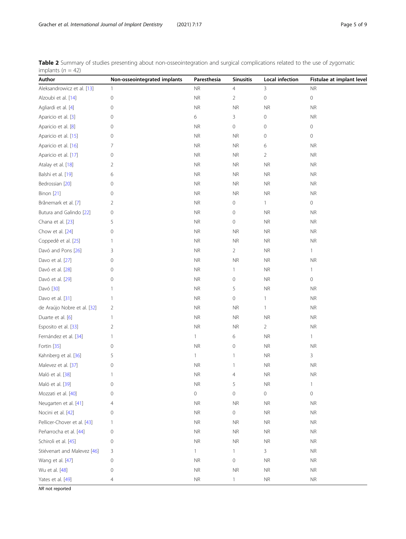<span id="page-4-0"></span>

|                     | Table 2 Summary of studies presenting about non-osseointegration and surgical complications related to the use of zygomatic |  |  |  |  |
|---------------------|-----------------------------------------------------------------------------------------------------------------------------|--|--|--|--|
| implants $(n = 42)$ |                                                                                                                             |  |  |  |  |

| Author                      | Non-osseointegrated implants | Paresthesia         | <b>Sinusitis</b>    | Local infection | Fistulae at implant level |
|-----------------------------|------------------------------|---------------------|---------------------|-----------------|---------------------------|
| Aleksandrowicz et al. [13]  | 1                            | <b>NR</b>           | $\overline{4}$      | 3               | <b>NR</b>                 |
| Alzoubi et al. [14]         | $\mathsf{O}\xspace$          | <b>NR</b>           | $\overline{2}$      | $\mathbf 0$     | 0                         |
| Agliardi et al. [4]         | 0                            | <b>NR</b>           | <b>NR</b>           | <b>NR</b>       | <b>NR</b>                 |
| Aparicio et al. [3]         | 0                            | 6                   | 3                   | 0               | <b>NR</b>                 |
| Aparicio et al. [8]         | 0                            | <b>NR</b>           | 0                   | 0               | 0                         |
| Aparicio et al. [15]        | 0                            | <b>NR</b>           | <b>NR</b>           | 0               | 0                         |
| Aparicio et al. [16]        | 7                            | <b>NR</b>           | <b>NR</b>           | 6               | <b>NR</b>                 |
| Aparicio et al. [17]        | 0                            | <b>NR</b>           | <b>NR</b>           | 2               | <b>NR</b>                 |
| Atalay et al. [18]          | 2                            | <b>NR</b>           | $\sf NR$            | <b>NR</b>       | <b>NR</b>                 |
| Balshi et al. [19]          | 6                            | <b>NR</b>           | <b>NR</b>           | <b>NR</b>       | <b>NR</b>                 |
| Bedrossian [20]             | 0                            | <b>NR</b>           | <b>NR</b>           | <b>NR</b>       | NR.                       |
| Binon [21]                  | 0                            | <b>NR</b>           | <b>NR</b>           | <b>NR</b>       | <b>NR</b>                 |
| Brånemark et al. [7]        | 2                            | NR                  | $\mathbf 0$         | 1               | 0                         |
| Butura and Galindo [22]     | 0                            | <b>NR</b>           | $\mathbf 0$         | <b>NR</b>       | <b>NR</b>                 |
| Chana et al. [23]           | 5                            | <b>NR</b>           | $\mathsf{O}\xspace$ | $\sf NR$        | <b>NR</b>                 |
| Chow et al. [24]            | 0                            | <b>NR</b>           | <b>NR</b>           | $\sf NR$        | <b>NR</b>                 |
| Coppedê et al. [25]         | 1                            | NR                  | <b>NR</b>           | <b>NR</b>       | NR.                       |
| Davó and Pons [26]          | 3                            | <b>NR</b>           | $\overline{2}$      | <b>NR</b>       | $\mathbf{1}$              |
| Davo et al. [27]            | 0                            | <b>NR</b>           | <b>NR</b>           | $\sf NR$        | <b>NR</b>                 |
| Davó et al. [28]            | 0                            | <b>NR</b>           | $\mathbf{1}$        | <b>NR</b>       | $\mathbf{1}$              |
| Davó et al. [29]            | 0                            | <b>NR</b>           | $\mathsf{O}\xspace$ | $\sf NR$        | 0                         |
| Davó [30]                   | 1                            | <b>NR</b>           | 5                   | <b>NR</b>       | <b>NR</b>                 |
| Davo et al. [31]            | 1                            | NR                  | $\mathbf 0$         | 1               | <b>NR</b>                 |
| de Araújo Nobre et al. [32] | 2                            | <b>NR</b>           | <b>NR</b>           | 1               | <b>NR</b>                 |
| Duarte et al. [6]           | 1                            | <b>NR</b>           | <b>NR</b>           | <b>NR</b>       | <b>NR</b>                 |
| Esposito et al. [33]        | $\overline{2}$               | <b>NR</b>           | <b>NR</b>           | 2               | <b>NR</b>                 |
| Fernández et al. [34]       | 1                            | $\mathbf{1}$        | 6                   | $\sf NR$        | $\mathbf{1}$              |
| Fortin [35]                 | 0                            | <b>NR</b>           | $\mathbf 0$         | $\sf NR$        | <b>NR</b>                 |
| Kahnberg et al. [36]        | 5                            | $\mathbf{1}$        | $\mathbf{1}$        | <b>NR</b>       | 3                         |
| Malevez et al. [37]         | 0                            | <b>NR</b>           | $\mathbf{1}$        | $\sf NR$        | <b>NR</b>                 |
| Maló et al. [38]            | 1                            | <b>NR</b>           | 4                   | $\sf NR$        | <b>NR</b>                 |
| Maló et al. [39]            | 0                            | <b>NR</b>           | 5                   | <b>NR</b>       | $\mathbf{1}$              |
| Mozzati et al. [40]         | 0                            | $\mathsf{O}\xspace$ | $\mathbf 0$         | 0               | $\circ$                   |
| Neugarten et al. [41]       | 4                            | <b>NR</b>           | $\sf NR$            | $\sf NR$        | $\sf NR$                  |
| Nocini et al. [42]          | 0                            | <b>NR</b>           | $\mathsf{O}\xspace$ | <b>NR</b>       | <b>NR</b>                 |
| Pellicer-Chover et al. [43] | 1                            | <b>NR</b>           | $\sf NR$            | $\sf NR$        | <b>NR</b>                 |
| Peñarrocha et al. [44]      | $\mathsf{O}\xspace$          | <b>NR</b>           | $\sf NR$            | $\sf NR$        | <b>NR</b>                 |
| Schiroli et al. [45]        | 0                            | <b>NR</b>           | <b>NR</b>           | <b>NR</b>       | <b>NR</b>                 |
| Stiévenart and Malevez [46] | 3                            | 1                   | $\mathbf{1}$        | 3               | <b>NR</b>                 |
| Wang et al. [47]            | 0                            | <b>NR</b>           | $\mathbf 0$         | <b>NR</b>       | $\sf NR$                  |
| Wu et al. [48]              | 0                            | <b>NR</b>           | $\sf NR$            | ${\sf NR}$      | <b>NR</b>                 |
| Yates et al. [49]           | 4                            | $\sf NR$            | $\mathbf{1}$        | $\sf NR$        | $\sf NR$                  |

NR not reported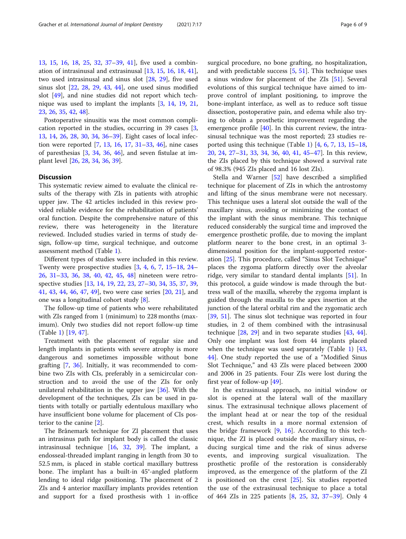[13,](#page-7-0) [15,](#page-7-0) [16](#page-7-0), [18](#page-7-0), [25,](#page-8-0) [32,](#page-8-0) [37](#page-8-0)–[39,](#page-8-0) [41](#page-8-0)], five used a combination of intrasinusal and extrasinusal [[13,](#page-7-0) [15,](#page-7-0) [16,](#page-7-0) [18](#page-7-0), [41](#page-8-0)], two used intrasinusal and sinus slot [\[28](#page-8-0), [29](#page-8-0)], five used sinus slot [[22](#page-8-0), [28,](#page-8-0) [29,](#page-8-0) [43,](#page-8-0) [44\]](#page-8-0), one used sinus modified slot [\[49](#page-8-0)], and nine studies did not report which technique was used to implant the implants [[3,](#page-7-0) [14,](#page-7-0) [19](#page-7-0), [21](#page-8-0), [23,](#page-8-0) [26](#page-8-0), [35](#page-8-0), [42](#page-8-0), [48](#page-8-0)].

Postoperative sinusitis was the most common complication reported in the studies, occurring in 39 cases [\[3](#page-7-0), [13,](#page-7-0) [14](#page-7-0), [26,](#page-8-0) [28](#page-8-0), [30,](#page-8-0) [34](#page-8-0), [36](#page-8-0)–[39](#page-8-0)]. Eight cases of local infection were reported [\[7,](#page-7-0) [13,](#page-7-0) [16](#page-7-0), [17,](#page-7-0) [31](#page-8-0)–[33,](#page-8-0) [46](#page-8-0)], nine cases of paresthesias [[3](#page-7-0), [34](#page-8-0), [36](#page-8-0), [46](#page-8-0)], and seven fistulae at implant level [[26,](#page-8-0) [28,](#page-8-0) [34,](#page-8-0) [36](#page-8-0), [39](#page-8-0)].

# **Discussion**

This systematic review aimed to evaluate the clinical results of the therapy with ZIs in patients with atrophic upper jaw. The 42 articles included in this review provided reliable evidence for the rehabilitation of patients' oral function. Despite the comprehensive nature of this review, there was heterogeneity in the literature reviewed. Included studies varied in terms of study design, follow-up time, surgical technique, and outcome assessment method (Table [1](#page-3-0)).

Different types of studies were included in this review. Twenty were prospective studies  $[3, 4, 6, 7, 15-18, 24 [3, 4, 6, 7, 15-18, 24 [3, 4, 6, 7, 15-18, 24 [3, 4, 6, 7, 15-18, 24 [3, 4, 6, 7, 15-18, 24 [3, 4, 6, 7, 15-18, 24 [3, 4, 6, 7, 15-18, 24 [3, 4, 6, 7, 15-18, 24 [3, 4, 6, 7, 15-18, 24 [3, 4, 6, 7, 15-18, 24 [3, 4, 6, 7, 15-18, 24 [3, 4, 6, 7, 15-18, 24 [3, 4, 6, 7, 15-18, 24 [3, 4, 6, 7, 15-18, 24 [3, 4, 6, 7, 15-18, 24-$ [26,](#page-8-0) [31](#page-8-0)–[33,](#page-8-0) [36,](#page-8-0) [38](#page-8-0), [40](#page-8-0), [42,](#page-8-0) [45,](#page-8-0) [48](#page-8-0)] nineteen were retrospective studies [[13,](#page-7-0) [14,](#page-7-0) [19,](#page-7-0) [22,](#page-8-0) [23](#page-8-0), [27](#page-8-0)–[30,](#page-8-0) [34](#page-8-0), [35](#page-8-0), [37](#page-8-0), [39](#page-8-0), [41,](#page-8-0) [43,](#page-8-0) [44](#page-8-0), [46](#page-8-0), [47,](#page-8-0) [49\]](#page-8-0), two were case series [[20,](#page-8-0) [21\]](#page-8-0), and one was a longitudinal cohort study [[8](#page-7-0)].

The follow-up time of patients who were rehabilitated with ZIs ranged from 1 (minimum) to 228 months (maximum). Only two studies did not report follow-up time (Table [1\)](#page-3-0) [[19,](#page-7-0) [47\]](#page-8-0).

Treatment with the placement of regular size and length implants in patients with severe atrophy is more dangerous and sometimes impossible without bone grafting [[7,](#page-7-0) [36](#page-8-0)]. Initially, it was recommended to combine two ZIs with CIs, preferably in a semicircular construction and to avoid the use of the ZIs for only unilateral rehabilitation in the upper jaw [[36\]](#page-8-0). With the development of the techniques, ZIs can be used in patients with totally or partially edentulous maxillary who have insufficient bone volume for placement of CIs posterior to the canine [[2\]](#page-7-0).

The Brånemark technique for ZI placement that uses an intrasinus path for implant body is called the classic intrasinusal technique [\[16](#page-7-0), [32](#page-8-0), [39](#page-8-0)]. The implant, a endosseal-threaded implant ranging in length from 30 to 52.5 mm, is placed in stable cortical maxillary buttress bone. The implant has a built-in 45°-angled platform lending to ideal ridge positioning. The placement of 2 ZIs and 4 anterior maxillary implants provides retention and support for a fixed prosthesis with 1 in-office surgical procedure, no bone grafting, no hospitalization, and with predictable success [\[5](#page-7-0), [51](#page-8-0)]. This technique uses a sinus window for placement of the ZIs [[51\]](#page-8-0). Several evolutions of this surgical technique have aimed to improve control of implant positioning, to improve the bone-implant interface, as well as to reduce soft tissue dissection, postoperative pain, and edema while also trying to obtain a prosthetic improvement regarding the emergence profile [\[40\]](#page-8-0). In this current review, the intrasinusal technique was the most reported; 23 studies re-ported using this technique (Table [1](#page-3-0))  $[4, 6, 7, 13, 15-18,$  $[4, 6, 7, 13, 15-18,$  $[4, 6, 7, 13, 15-18,$  $[4, 6, 7, 13, 15-18,$  $[4, 6, 7, 13, 15-18,$  $[4, 6, 7, 13, 15-18,$  $[4, 6, 7, 13, 15-18,$  $[4, 6, 7, 13, 15-18,$  $[4, 6, 7, 13, 15-18,$  $[4, 6, 7, 13, 15-18,$  $[4, 6, 7, 13, 15-18,$  $[4, 6, 7, 13, 15-18,$  $[4, 6, 7, 13, 15-18,$ [20,](#page-8-0) [24](#page-8-0), [27](#page-8-0)–[31](#page-8-0), [33,](#page-8-0) [34](#page-8-0), [36](#page-8-0), [40,](#page-8-0) [41](#page-8-0), [45](#page-8-0)–[47](#page-8-0)]. In this review, the ZIs placed by this technique showed a survival rate of 98.3% (945 ZIs placed and 16 lost ZIs).

Stella and Warner [\[52](#page-8-0)] have described a simplified technique for placement of ZIs in which the antrostomy and lifting of the sinus membrane were not necessary. This technique uses a lateral slot outside the wall of the maxillary sinus, avoiding or minimizing the contact of the implant with the sinus membrane. This technique reduced considerably the surgical time and improved the emergence prosthetic profile, due to moving the implant platform nearer to the bone crest, in an optimal 3 dimensional position for the implant-supported restoration [[25](#page-8-0)]. This procedure, called "Sinus Slot Technique" places the zygoma platform directly over the alveolar ridge, very similar to standard dental implants [\[51](#page-8-0)]. In this protocol, a guide window is made through the buttress wall of the maxilla, whereby the zygoma implant is guided through the maxilla to the apex insertion at the junction of the lateral orbital rim and the zygomatic arch [[39,](#page-8-0) [51\]](#page-8-0). The sinus slot technique was reported in four studies, in 2 of them combined with the intrasinusal technique  $[28, 29]$  $[28, 29]$  $[28, 29]$  $[28, 29]$  and in two separate studies  $[43, 44]$  $[43, 44]$  $[43, 44]$  $[43, 44]$  $[43, 44]$ . Only one implant was lost from 44 implants placed when the technique was used separately (Table [1\)](#page-3-0) [[43](#page-8-0), [44\]](#page-8-0). One study reported the use of a "Modified Sinus Slot Technique," and 43 ZIs were placed between 2000 and 2006 in 25 patients. Four ZIs were lost during the first year of follow-up [[49\]](#page-8-0).

In the extrasinusal approach, no initial window or slot is opened at the lateral wall of the maxillary sinus. The extrasinusal technique allows placement of the implant head at or near the top of the residual crest, which results in a more normal extension of the bridge framework [[9,](#page-7-0) [16](#page-7-0)]. According to this technique, the ZI is placed outside the maxillary sinus, reducing surgical time and the risk of sinus adverse events, and improving surgical visualization. The prosthetic profile of the restoration is considerably improved, as the emergence of the platform of the ZI is positioned on the crest [\[25](#page-8-0)]. Six studies reported the use of the extrasinusal technique to place a total of 464 ZIs in 225 patients [[8,](#page-7-0) [25](#page-8-0), [32](#page-8-0), [37](#page-8-0)–[39\]](#page-8-0). Only 4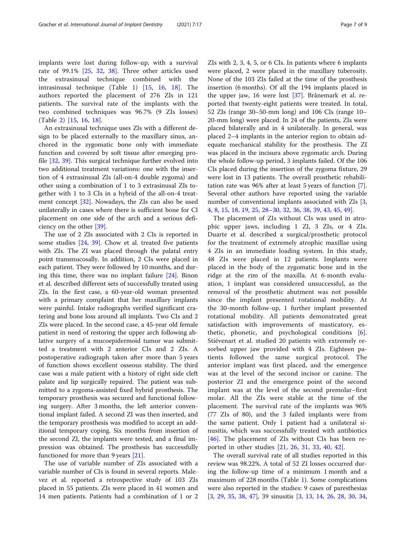implants were lost during follow-up, with a survival rate of 99.1% [[25,](#page-8-0) [32](#page-8-0), [38\]](#page-8-0). Three other articles used the extrasinusal technique combined with the intrasinusal technique (Table [1\)](#page-3-0) [[15,](#page-7-0) [16](#page-7-0), [18](#page-7-0)]. The authors reported the placement of 276 ZIs in 121 patients. The survival rate of the implants with the two combined techniques was 96.7% (9 ZIs losses) (Table [2](#page-4-0)) [[15,](#page-7-0) [16,](#page-7-0) [18](#page-7-0)].

An extrasinusal technique uses ZIs with a different design to be placed externally to the maxillary sinus, anchored in the zygomatic bone only with immediate function and covered by soft tissue after emerging profile [[32](#page-8-0), [39\]](#page-8-0). This surgical technique further evolved into two additional treatment variations: one with the insertion of 4 extrasinusal ZIs (all-on-4 double zygoma) and other using a combination of 1 to 3 extrasinusal ZIs together with 1 to 3 CIs in a hybrid of the all-on-4 treatment concept [[32\]](#page-8-0). Nowadays, the ZIs can also be used unilaterally in cases where there is sufficient bone for CI placement on one side of the arch and a serious deficiency on the other [\[39](#page-8-0)].

The use of 2 ZIs associated with 2 CIs is reported in some studies [\[24,](#page-8-0) [39](#page-8-0)]. Chow et al. treated five patients with ZIs. The ZI was placed through the palatal entry point transmucosally. In addition, 2 CIs were placed in each patient. They were followed by 10 months, and during this time, there was no implant failure [[24](#page-8-0)]. Binon et al. described different sets of successfully treated using ZIs. In the first case, a 60-year-old woman presented with a primary complaint that her maxillary implants were painful. Intake radiographs verified significant cratering and bone loss around all implants. Two CIs and 2 ZIs were placed. In the second case, a 45-year old female patient in need of restoring the upper arch following ablative surgery of a mucoepidermoid tumor was submitted a treatment with 2 anterior CIs and 2 ZIs. A postoperative radiograph taken after more than 5 years of function shows excellent osseous stability. The third case was a male patient with a history of right side cleft palate and lip surgically repaired. The patient was submitted to a zygoma-assisted fixed hybrid prosthesis. The temporary prosthesis was secured and functional following surgery. After 3 months, the left anterior conventional implant failed. A second ZI was then inserted, and the temporary prosthesis was modified to accept an additional temporary coping. Six months from insertion of the second ZI, the implants were tested, and a final impression was obtained. The prosthesis has successfully functioned for more than 9 years [\[21](#page-8-0)].

The use of variable number of ZIs associated with a variable number of CIs is found in several reports. Malevez et al. reported a retrospective study of 103 ZIs placed in 55 patients. ZIs were placed in 41 women and 14 men patients. Patients had a combination of 1 or 2

ZIs with 2, 3, 4, 5, or 6 CIs. In patients where 6 implants were placed, 2 were placed in the maxillary tuberosity. None of the 103 ZIs failed at the time of the prosthesis insertion (6 months). Of all the 194 implants placed in the upper jaw, 16 were lost [[37\]](#page-8-0). Brånemark et al. reported that twenty-eight patients were treated. In total, 52 ZIs (range 30–50-mm long) and 106 CIs (range 10– 20-mm long) were placed. In 24 of the patients, ZIs were placed bilaterally and in 4 unilaterally. In general, was placed 2–4 implants in the anterior region to obtain adequate mechanical stability for the prosthesis. The ZI was placed in the incisura above zygomatic arch. During the whole follow-up period, 3 implants failed. Of the 106 CIs placed during the insertion of the zygoma fixture, 29 were lost in 13 patients. The overall prosthetic rehabilitation rate was 96% after at least 5 years of function [\[7](#page-7-0)]. Several other authors have reported using the variable number of conventional implants associated with ZIs [\[3](#page-7-0), [4,](#page-7-0) [8,](#page-7-0) [15,](#page-7-0) [18](#page-7-0), [19](#page-7-0), [25](#page-8-0), [28](#page-8-0)–[30,](#page-8-0) [32,](#page-8-0) [36,](#page-8-0) [38,](#page-8-0) [39,](#page-8-0) [43](#page-8-0), [45](#page-8-0), [49](#page-8-0)].

The placement of ZIs without CIs was used in atrophic upper jaws, including 1 ZI, 3 ZIs, or 4 ZIs. Duarte et al. described a surgical/prosthetic protocol for the treatment of extremely atrophic maxillae using 4 ZIs in an immediate loading system. In this study, 48 ZIs were placed in 12 patients. Implants were placed in the body of the zygomatic bone and in the ridge at the rim of the maxilla. At 6-month evaluation, 1 implant was considered unsuccessful, as the removal of the prosthetic abutment was not possible since the implant presented rotational mobility. At the 30-month follow-up, 1 further implant presented rotational mobility. All patients demonstrated great satisfaction with improvements of masticatory, esthetic, phonetic, and psychological conditions [\[6](#page-7-0)]. Stiévenart et al. studied 20 patients with extremely resorbed upper jaw provided with 4 ZIs. Eighteen patients followed the same surgical protocol. The anterior implant was first placed, and the emergence was at the level of the second incisor or canine. The posterior ZI and the emergence point of the second implant was at the level of the second premolar–first molar. All the ZIs were stable at the time of the placement. The survival rate of the implants was 96% (77 ZIs of 80), and the 3 failed implants were from the same patient. Only 1 patient had a unilateral sinusitis, which was successfully treated with antibiotics [[46\]](#page-8-0). The placement of ZIs without CIs has been reported in other studies [\[21](#page-8-0), [26](#page-8-0), [31](#page-8-0), [33,](#page-8-0) [40,](#page-8-0) [42\]](#page-8-0).

The overall survival rate of all studies reported in this review was 98.22%. A total of 52 ZI losses occurred during the follow-up time of a minimum 1 month and a maximum of 228 months (Table [1\)](#page-3-0). Some complications were also reported in the studies: 9 cases of paresthesias [[3,](#page-7-0) [29](#page-8-0), [35](#page-8-0), [38,](#page-8-0) [47](#page-8-0)], 39 sinusitis [[3,](#page-7-0) [13](#page-7-0), [14,](#page-7-0) [26](#page-8-0), [28](#page-8-0), [30,](#page-8-0) [34](#page-8-0),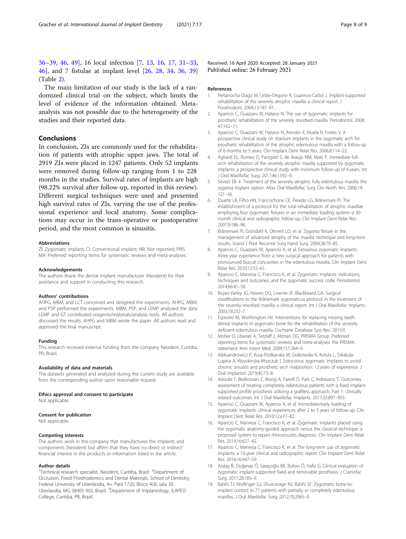<span id="page-7-0"></span>[36](#page-8-0)–[39](#page-8-0), [46](#page-8-0), [49](#page-8-0)], 16 local infection [7, 13, 16, 17, [31](#page-8-0)–[33](#page-8-0), [46\]](#page-8-0), and 7 fistulae at implant level [\[26,](#page-8-0) [28](#page-8-0), [34,](#page-8-0) [36,](#page-8-0) [39](#page-8-0)] (Table [2\)](#page-4-0).

The main limitation of our study is the lack of a randomized clinical trial on the subject, which limits the level of evidence of the information obtained. Metaanalysis was not possible due to the heterogeneity of the studies and their reported data.

# Conclusions

In conclusion, ZIs are commonly used for the rehabilitation of patients with atrophic upper jaws. The total of 2919 ZIs were placed in 1247 patients. Only 52 implants were removed during follow-up ranging from 1 to 228 months in the studies. Survival rates of implants are high (98.22% survival after follow-up, reported in this review). Different surgical techniques were used and presented high survival rates of ZIs, varying the use of the professional experience and local anatomy. Some complications may occur in the trans-operative or postoperative period, and the most common is sinusitis.

#### Abbreviations

ZI: Zygomatic implant; CI: Conventional implant; NR: Not reported; PRIS MA: Preferred reporting items for systematic reviews and meta-analyses.

#### Acknowledgements

The authors thank the dental implant manufacturer (Neodent) for their assistance and support in conducting this research.

#### Authors' contributions

AHPG, MBM, and LCT conceived and designed the experiments. AHPG, MBM, and PSP performed the experiments. MBM, PSP, and LEMP analyzed the data. LEMP and GT contributed reagents/materials/analysis tools. All authors discussed the results. AHPG and MBM wrote the paper. All authors read and approved the final manuscript.

#### Funding

This research received external funding from the company Neodent, Curitiba, PR, Brazil.

#### Availability of data and materials

The datasets generated and analyzed during the current study are available from the corresponding author upon reasonable request.

#### Ethics approval and consent to participate

Not applicable.

#### Consent for publication

Not applicable.

#### Competing interests

The authors work in the company that manufactures the implants and components (Neodent) but affirm that they have no direct or indirect financial interest in the products or information listed in the article.

#### Author details

<sup>1</sup>Technical research specialist, Neodent, Curitiba, Brazil. <sup>2</sup>Department of Occlusion, Fixed Prosthodontics and Dental Materials, School of Dentistry, Federal University of Uberlandia, Av. Pará 1720, Bloco 4LB, sala 39, Uberlandia, MG 38405-902, Brazil. <sup>3</sup>Department of Implantology, ILAPEO College, Curitiba, PR, Brazil.

Received: 16 April 2020 Accepted: 28 January 2021 Published online: 26 February 2021

#### References

- 1. Peñarrocha-Diago M, Uribe-Origone R, Guarinos-Carbó J. Implant-supported rehabilitation of the severely atrophic maxilla: a clinical report. J Prosthodont. 2004;13:187–91.
- 2. Aparicio C, Ouazzani W, Hatano N. The use of zygomatic implants for prosthetic rehabilitation of the severely resorbed maxilla. Periodontol. 2008; 47:162–71.
- 3. Aparicio C, Ouazzani W, Hatano N, Arevalo X, Muela R, Fortes V. A prospective clinical study on titanium implants in the zygomatic arch for prosthetic rehabilitation of the atrophic edentulous maxilla with a follow-up of 6 months to 5 years. Clin Implant Dent Relat Res. 2006;8:114–22.
- 4. Agliardi EL, Romeo D, Panigatti S, de Araújo NM, Maló P. Immediate fullarch rehabilitation of the severely atrophic maxilla supported by zygomatic implants: a prospective clinical study with minimum follow-up of 6 years. Int J Oral Maxillofac Surg. 2017;46:1592–9.
- 5. Sevetz EB Jr. Treatment of the severely atrophic fully edentulous maxilla: the zygoma implant option. Atlas Oral Maxillofac Surg Clin North Am. 2006;14: 121–36.
- 6. Duarte LR, Filho HN, Francischone CE, Peredo LG, Brånemark PI. The establishment of a protocol for the total rehabilitation of atrophic maxillae employing four zygomatic fixtures in an immediate loading system--a 30 month clinical and radiographic follow-up. Clin Implant Dent Relat Res. 2007;9:186–96.
- 7. Brånemark PI, Gröndahl K, Ohrnell LO, et al. Zygoma fixture in the management of advanced atrophy of the maxilla: technique and long-term results. Scand J Plast Reconstr Surg Hand Surg. 2004;38:70–85.
- 8. Aparicio C, Ouazzani W, Aparicio A, et al. Extrasinus zygomatic implants: three year experience from a new surgical approach for patients with pronounced buccal concavities in the edentulous maxilla. Clin Implant Dent Relat Res. 2010;12:55–61.
- 9. Aparicio C, Manresa C, Francisco K, et al. Zygomatic implants: indications, techniques and outcomes, and the zygomatic success code. Periodontol. 2014;66:41–58.
- 10. Boyes-Varley JG, Howes DG, Lownie JF, Blackbeard GA. Surgical modifications to the Brånemark zygomaticus protocol in the treatment of the severely resorbed maxilla: a clinical report. Int J Oral Maxillofac Implants. 2003;18:232–7.
- 11. Esposito M, Worthington HV. Interventions for replacing missing teeth: dental implants in zygomatic bone for the rehabilitation of the severely deficient edentulous maxilla. Cochrane Database Syst Rev. 2013;9.
- 12. Moher D, Liberati A, Tetzlaff J, Altman DG, PRISMA Group. Preferred reporting items for systematic reviews and meta-analyses: the PRISMA statement. Ann Intern Med. 2009;151:264–9.
- 13. Aleksandrowicz P, Kusa-Podkanska M, Grabowska K, Kotula L, Szkatula-Lupina A, Wysokinska-Miszczuk J. Extra-sinus zygomatic implants to avoid chronic sinusitis and prosthetic arch malposition: 12 years of experience. J Oral implantol. 2019;45:73–8.
- 14. Alzoubi F, Bedrossian E, Wong A, Farrell D, Park C, Indresano T. Outcomes assessment of treating completely edentulous patients with a fixed implantsupported profile prosthesis utilizing a graftless approach. Part 1: clinically related outcomes. Int J Oral Maxillofac Implants. 2017;32:897–903.
- 15. Aparicio C, Ouazzani W, Aparicio A, et al. Immediate/early loading of zygomatic implants: clinical experiences after 2 to 5 years of follow-up. Clin Implant Dent Relat Res. 2010;12:e77–82.
- 16. Aparicio C, Manresa C, Francisco K, et al. Zygomatic implants placed using the zygomatic anatomy-guided approach versus the classical technique: a proposed system to report rhinosinusitis diagnosis. Clin Implant Dent Relat Res. 2014;16:627–42.
- 17. Aparicio C, Manresa C, Francisco K, et al. The long-term use of zygomatic implants: a 10-year clinical and radiographic report. Clin Implant Dent Relat Res. 2014;16:447–59.
- 18. Atalay B, Doğanay Ö, Saraçoğlu BK, Bultan Ö, Hafiz G. Clinical evaluation of zygomatic implant-supported fixed and removable prosthesis. J Craniofac Surg. 2017;28:185–9.
- 19. Balshi TJ, Wolfinger GJ, Shuscavage NJ, Balshi SF. Zygomatic bone-toimplant contact in 77 patients with partially or completely edentulous maxillas. J Oral Maxillofac Surg. 2012;70:2065–9.